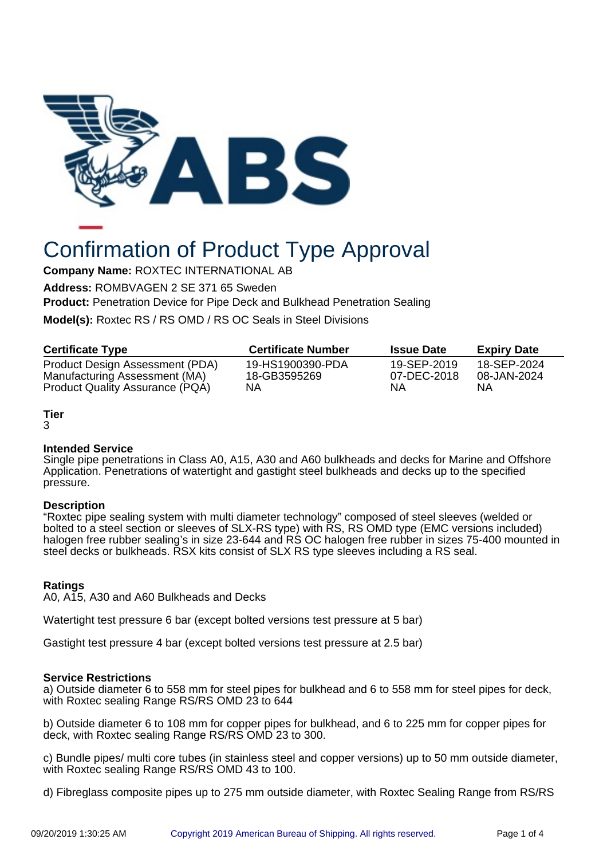

# Confirmation of Product Type Approval

**Company Name:** ROXTEC INTERNATIONAL AB

**Address:** ROMBVAGEN 2 SE 371 65 Sweden

**Product:** Penetration Device for Pipe Deck and Bulkhead Penetration Sealing

**Model(s):** Roxtec RS / RS OMD / RS OC Seals in Steel Divisions

| <b>Certificate Type</b>         | <b>Certificate Number</b> | <b>Issue Date</b> | <b>Expiry Date</b> |
|---------------------------------|---------------------------|-------------------|--------------------|
| Product Design Assessment (PDA) | 19-HS1900390-PDA          | 19-SEP-2019       | 18-SEP-2024        |
| Manufacturing Assessment (MA)   | 18-GB3595269              | 07-DEC-2018       | 08-JAN-2024        |
| Product Quality Assurance (PQA) | ΝA                        | NΑ                | ΝA                 |

# **Tier**

3

## **Intended Service**

Single pipe penetrations in Class A0, A15, A30 and A60 bulkheads and decks for Marine and Offshore Application. Penetrations of watertight and gastight steel bulkheads and decks up to the specified pressure.

## **Description**

"Roxtec pipe sealing system with multi diameter technology" composed of steel sleeves (welded or bolted to a steel section or sleeves of SLX-RS type) with  $\overline{KS}$ , RS OMD type (EMC versions included) halogen free rubber sealing's in size 23-644 and RS OC halogen free rubber in sizes 75-400 mounted in steel decks or bulkheads. RSX kits consist of SLX RS type sleeves including a RS seal.

## **Ratings**

A0, A15, A30 and A60 Bulkheads and Decks

Watertight test pressure 6 bar (except bolted versions test pressure at 5 bar)

Gastight test pressure 4 bar (except bolted versions test pressure at 2.5 bar)

## **Service Restrictions**

a) Outside diameter 6 to 558 mm for steel pipes for bulkhead and 6 to 558 mm for steel pipes for deck, with Roxtec sealing Range RS/RS OMD 23 to 644

b) Outside diameter 6 to 108 mm for copper pipes for bulkhead, and 6 to 225 mm for copper pipes for deck, with Roxtec sealing Range RS/RS OMD 23 to 300.

c) Bundle pipes/ multi core tubes (in stainless steel and copper versions) up to 50 mm outside diameter, with Roxtec sealing Range RS/RS OMD 43 to 100.

d) Fibreglass composite pipes up to 275 mm outside diameter, with Roxtec Sealing Range from RS/RS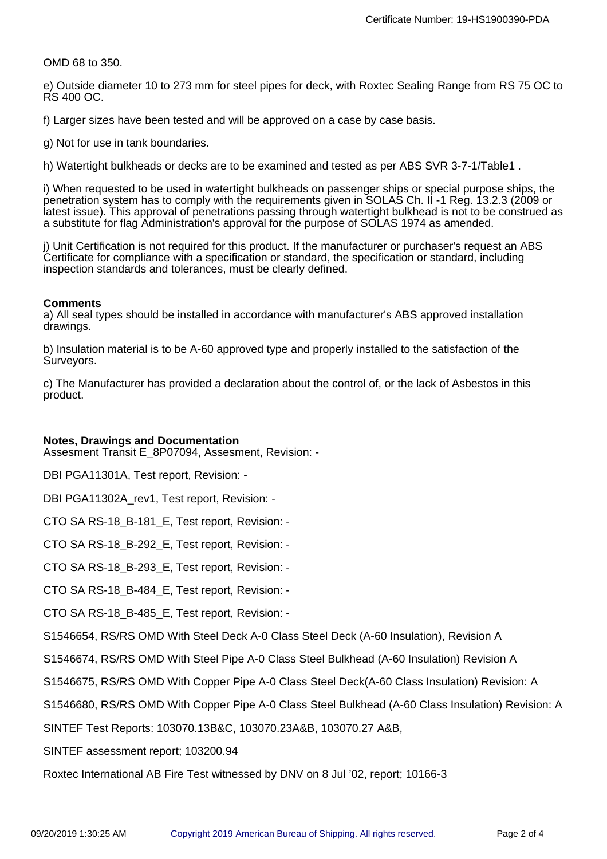OMD 68 to 350.

e) Outside diameter 10 to 273 mm for steel pipes for deck, with Roxtec Sealing Range from RS 75 OC to RS 400 OC.

f) Larger sizes have been tested and will be approved on a case by case basis.

g) Not for use in tank boundaries.

h) Watertight bulkheads or decks are to be examined and tested as per ABS SVR 3-7-1/Table1 .

i) When requested to be used in watertight bulkheads on passenger ships or special purpose ships, the penetration system has to comply with the requirements given in SOLAS Ch. II -1 Req. 13.2.3 (2009 or latest issue). This approval of penetrations passing through watertight bulkhead is not to be construed as a substitute for flag Administration's approval for the purpose of SOLAS 1974 as amended.

j) Unit Certification is not required for this product. If the manufacturer or purchaser's request an ABS Certificate for compliance with a specification or standard, the specification or standard, including inspection standards and tolerances, must be clearly defined.

#### **Comments**

a) All seal types should be installed in accordance with manufacturer's ABS approved installation drawings.

b) Insulation material is to be A-60 approved type and properly installed to the satisfaction of the Surveyors.

c) The Manufacturer has provided a declaration about the control of, or the lack of Asbestos in this product.

#### **Notes, Drawings and Documentation**

Assesment Transit E\_8P07094, Assesment, Revision: -

DBI PGA11301A, Test report, Revision: -

DBI PGA11302A rev1, Test report, Revision: -

CTO SA RS-18\_B-181\_E, Test report, Revision: -

CTO SA RS-18\_B-292\_E, Test report, Revision: -

CTO SA RS-18\_B-293\_E, Test report, Revision: -

CTO SA RS-18\_B-484\_E, Test report, Revision: -

CTO SA RS-18\_B-485\_E, Test report, Revision: -

S1546654, RS/RS OMD With Steel Deck A-0 Class Steel Deck (A-60 Insulation), Revision A

S1546674, RS/RS OMD With Steel Pipe A-0 Class Steel Bulkhead (A-60 Insulation) Revision A

S1546675, RS/RS OMD With Copper Pipe A-0 Class Steel Deck(A-60 Class Insulation) Revision: A

S1546680, RS/RS OMD With Copper Pipe A-0 Class Steel Bulkhead (A-60 Class Insulation) Revision: A

SINTEF Test Reports: 103070.13B&C, 103070.23A&B, 103070.27 A&B,

SINTEF assessment report; 103200.94

Roxtec International AB Fire Test witnessed by DNV on 8 Jul '02, report; 10166-3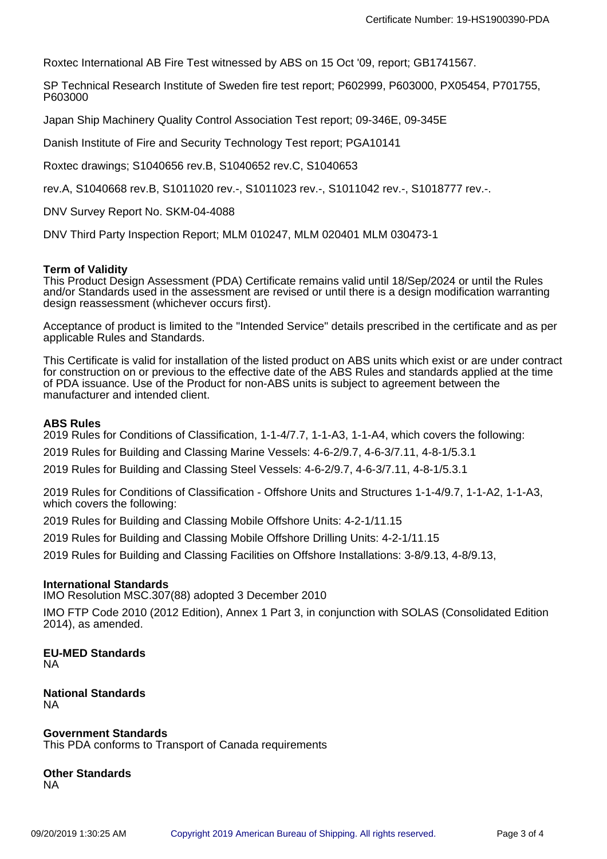Roxtec International AB Fire Test witnessed by ABS on 15 Oct '09, report; GB1741567.

SP Technical Research Institute of Sweden fire test report; P602999, P603000, PX05454, P701755, P603000

Japan Ship Machinery Quality Control Association Test report; 09-346E, 09-345E

Danish Institute of Fire and Security Technology Test report; PGA10141

Roxtec drawings; S1040656 rev.B, S1040652 rev.C, S1040653

rev.A, S1040668 rev.B, S1011020 rev.-, S1011023 rev.-, S1011042 rev.-, S1018777 rev.-.

DNV Survey Report No. SKM-04-4088

DNV Third Party Inspection Report; MLM 010247, MLM 020401 MLM 030473-1

#### **Term of Validity**

This Product Design Assessment (PDA) Certificate remains valid until 18/Sep/2024 or until the Rules and/or Standards used in the assessment are revised or until there is a design modification warranting design reassessment (whichever occurs first).

Acceptance of product is limited to the "Intended Service" details prescribed in the certificate and as per applicable Rules and Standards.

This Certificate is valid for installation of the listed product on ABS units which exist or are under contract for construction on or previous to the effective date of the ABS Rules and standards applied at the time of PDA issuance. Use of the Product for non-ABS units is subject to agreement between the manufacturer and intended client.

#### **ABS Rules**

2019 Rules for Conditions of Classification, 1-1-4/7.7, 1-1-A3, 1-1-A4, which covers the following:

2019 Rules for Building and Classing Marine Vessels: 4-6-2/9.7, 4-6-3/7.11, 4-8-1/5.3.1

2019 Rules for Building and Classing Steel Vessels: 4-6-2/9.7, 4-6-3/7.11, 4-8-1/5.3.1

2019 Rules for Conditions of Classification - Offshore Units and Structures 1-1-4/9.7, 1-1-A2, 1-1-A3, which covers the following:

2019 Rules for Building and Classing Mobile Offshore Units: 4-2-1/11.15

2019 Rules for Building and Classing Mobile Offshore Drilling Units: 4-2-1/11.15

2019 Rules for Building and Classing Facilities on Offshore Installations: 3-8/9.13, 4-8/9.13,

## **International Standards**

IMO Resolution MSC.307(88) adopted 3 December 2010

IMO FTP Code 2010 (2012 Edition), Annex 1 Part 3, in conjunction with SOLAS (Consolidated Edition 2014), as amended.

**EU-MED Standards** NA

**National Standards** NA

**Government Standards** This PDA conforms to Transport of Canada requirements

**Other Standards** NA